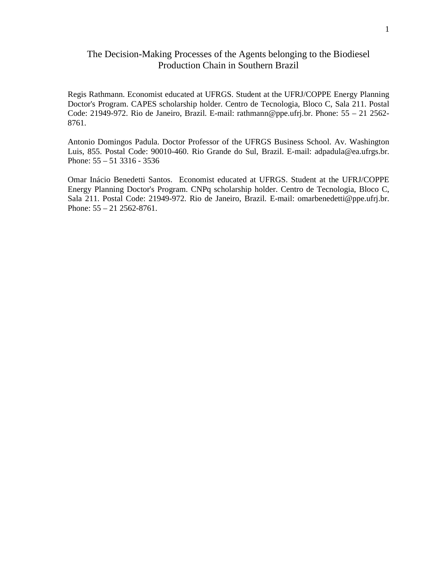Regis Rathmann. Economist educated at UFRGS. Student at the UFRJ/COPPE Energy Planning Doctor's Program. CAPES scholarship holder. Centro de Tecnologia, Bloco C, Sala 211. Postal Code: 21949-972. Rio de Janeiro, Brazil. E-mail: rathmann@ppe.ufrj.br. Phone: 55 – 21 2562- 8761.

Antonio Domingos Padula. Doctor Professor of the UFRGS Business School. Av. Washington Luis, 855. Postal Code: 90010-460. Rio Grande do Sul, Brazil. E-mail: adpadula@ea.ufrgs.br. Phone: 55 – 51 3316 - 3536

Omar Inácio Benedetti Santos. Economist educated at UFRGS. Student at the UFRJ/COPPE Energy Planning Doctor's Program. CNPq scholarship holder. Centro de Tecnologia, Bloco C, Sala 211. Postal Code: 21949-972. Rio de Janeiro, Brazil. E-mail: omarbenedetti@ppe.ufrj.br. Phone: 55 – 21 2562-8761.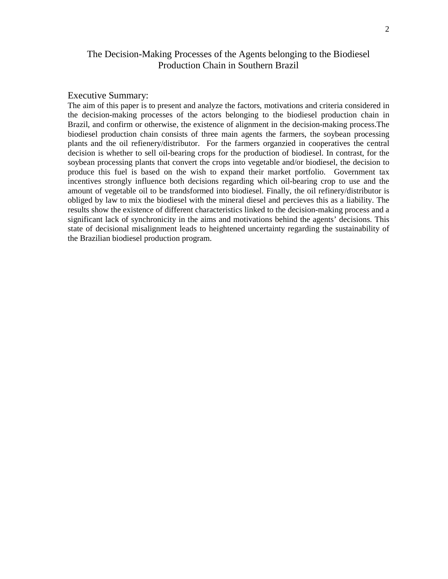## Executive Summary:

The aim of this paper is to present and analyze the factors, motivations and criteria considered in the decision-making processes of the actors belonging to the biodiesel production chain in Brazil, and confirm or otherwise, the existence of alignment in the decision-making process.The biodiesel production chain consists of three main agents the farmers, the soybean processing plants and the oil refienery/distributor. For the farmers organzied in cooperatives the central decision is whether to sell oil-bearing crops for the production of biodiesel. In contrast, for the soybean processing plants that convert the crops into vegetable and/or biodiesel, the decision to produce this fuel is based on the wish to expand their market portfolio. Government tax incentives strongly influence both decisions regarding which oil-bearing crop to use and the amount of vegetable oil to be trandsformed into biodiesel. Finally, the oil refinery/distributor is obliged by law to mix the biodiesel with the mineral diesel and percieves this as a liability. The results show the existence of different characteristics linked to the decision-making process and a significant lack of synchronicity in the aims and motivations behind the agents' decisions. This state of decisional misalignment leads to heightened uncertainty regarding the sustainability of the Brazilian biodiesel production program.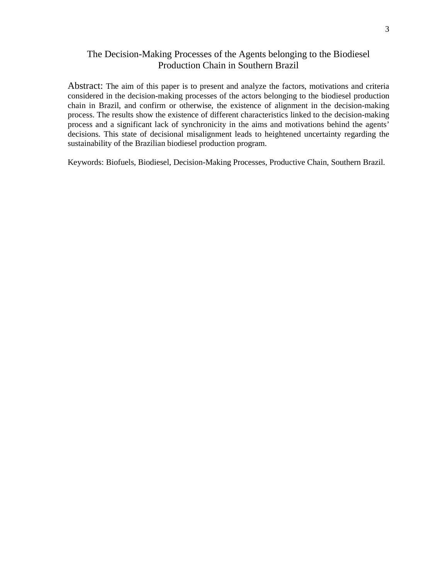Abstract: The aim of this paper is to present and analyze the factors, motivations and criteria considered in the decision-making processes of the actors belonging to the biodiesel production chain in Brazil, and confirm or otherwise, the existence of alignment in the decision-making process. The results show the existence of different characteristics linked to the decision-making process and a significant lack of synchronicity in the aims and motivations behind the agents' decisions. This state of decisional misalignment leads to heightened uncertainty regarding the sustainability of the Brazilian biodiesel production program.

Keywords: Biofuels, Biodiesel, Decision-Making Processes, Productive Chain, Southern Brazil.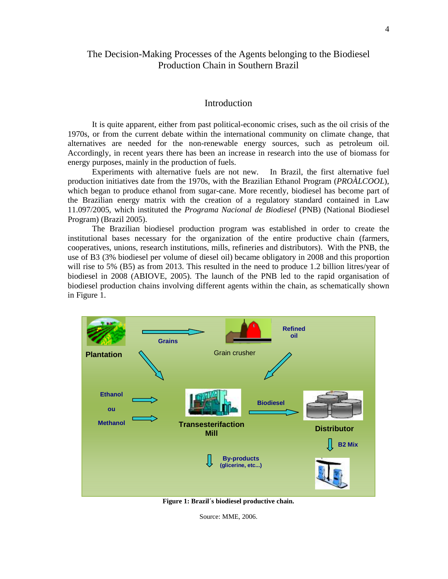## **Introduction**

It is quite apparent, either from past political-economic crises, such as the oil crisis of the 1970s, or from the current debate within the international community on climate change, that alternatives are needed for the non-renewable energy sources, such as petroleum oil. Accordingly, in recent years there has been an increase in research into the use of biomass for energy purposes, mainly in the production of fuels.

Experiments with alternative fuels are not new. In Brazil, the first alternative fuel production initiatives date from the 1970s, with the Brazilian Ethanol Program (*PROÀLCOOL*), which began to produce ethanol from sugar-cane. More recently, biodiesel has become part of the Brazilian energy matrix with the creation of a regulatory standard contained in Law 11.097/2005, which instituted the *Programa Nacional de Biodiesel* (PNB) (National Biodiesel Program) (Brazil 2005).

The Brazilian biodiesel production program was established in order to create the institutional bases necessary for the organization of the entire productive chain (farmers, cooperatives, unions, research institutions, mills, refineries and distributors). With the PNB, the use of B3 (3% biodiesel per volume of diesel oil) became obligatory in 2008 and this proportion will rise to 5% (B5) as from 2013. This resulted in the need to produce 1.2 billion litres/year of biodiesel in 2008 (ABIOVE, 2005). The launch of the PNB led to the rapid organisation of biodiesel production chains involving different agents within the chain, as schematically shown in Figure 1.



**Figure 1: Brazil´s biodiesel productive chain.** 

Source: MME, 2006.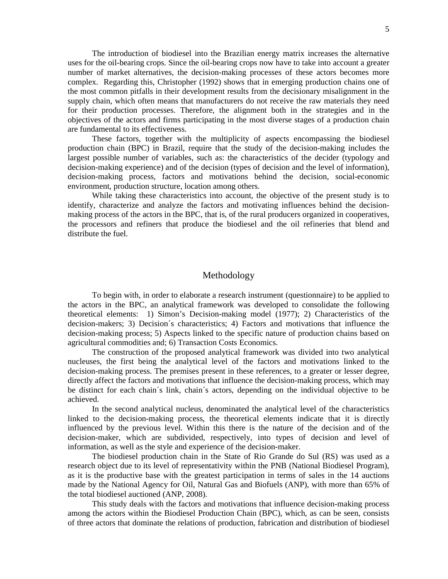The introduction of biodiesel into the Brazilian energy matrix increases the alternative uses for the oil-bearing crops. Since the oil-bearing crops now have to take into account a greater number of market alternatives, the decision-making processes of these actors becomes more complex. Regarding this, Christopher (1992) shows that in emerging production chains one of the most common pitfalls in their development results from the decisionary misalignment in the supply chain, which often means that manufacturers do not receive the raw materials they need for their production processes. Therefore, the alignment both in the strategies and in the objectives of the actors and firms participating in the most diverse stages of a production chain are fundamental to its effectiveness.

These factors, together with the multiplicity of aspects encompassing the biodiesel production chain (BPC) in Brazil, require that the study of the decision-making includes the largest possible number of variables, such as: the characteristics of the decider (typology and decision-making experience) and of the decision (types of decision and the level of information), decision-making process, factors and motivations behind the decision, social-economic environment, production structure, location among others.

While taking these characteristics into account, the objective of the present study is to identify, characterize and analyze the factors and motivating influences behind the decisionmaking process of the actors in the BPC, that is, of the rural producers organized in cooperatives, the processors and refiners that produce the biodiesel and the oil refineries that blend and distribute the fuel.

## Methodology

To begin with, in order to elaborate a research instrument (questionnaire) to be applied to the actors in the BPC, an analytical framework was developed to consolidate the following theoretical elements: 1) Simon's Decision-making model (1977); 2) Characteristics of the decision-makers; 3) Decision´s characteristics; 4) Factors and motivations that influence the decision-making process; 5) Aspects linked to the specific nature of production chains based on agricultural commodities and; 6) Transaction Costs Economics.

The construction of the proposed analytical framework was divided into two analytical nucleuses, the first being the analytical level of the factors and motivations linked to the decision-making process. The premises present in these references, to a greater or lesser degree, directly affect the factors and motivations that influence the decision-making process, which may be distinct for each chain´s link, chain´s actors, depending on the individual objective to be achieved.

In the second analytical nucleus, denominated the analytical level of the characteristics linked to the decision-making process, the theoretical elements indicate that it is directly influenced by the previous level. Within this there is the nature of the decision and of the decision-maker, which are subdivided, respectively, into types of decision and level of information, as well as the style and experience of the decision-maker.

The biodiesel production chain in the State of Rio Grande do Sul (RS) was used as a research object due to its level of representativity within the PNB (National Biodiesel Program), as it is the productive base with the greatest participation in terms of sales in the 14 auctions made by the National Agency for Oil, Natural Gas and Biofuels (ANP), with more than 65% of the total biodiesel auctioned (ANP, 2008).

This study deals with the factors and motivations that influence decision-making process among the actors within the Biodiesel Production Chain (BPC), which, as can be seen, consists of three actors that dominate the relations of production, fabrication and distribution of biodiesel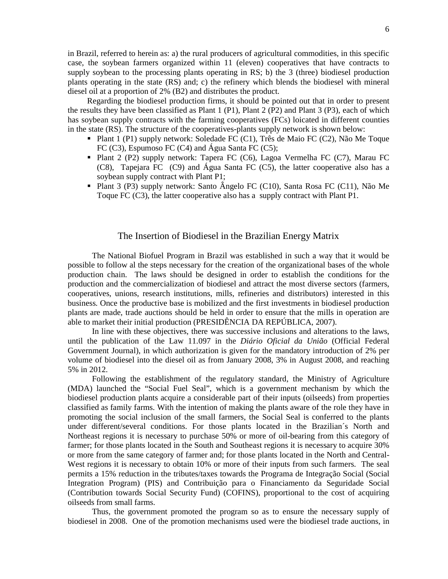in Brazil, referred to herein as: a) the rural producers of agricultural commodities, in this specific case, the soybean farmers organized within 11 (eleven) cooperatives that have contracts to supply soybean to the processing plants operating in RS; b) the 3 (three) biodiesel production plants operating in the state (RS) and; c) the refinery which blends the biodiesel with mineral diesel oil at a proportion of 2% (B2) and distributes the product.

Regarding the biodiesel production firms, it should be pointed out that in order to present the results they have been classified as Plant 1 (P1), Plant 2 (P2) and Plant 3 (P3), each of which has soybean supply contracts with the farming cooperatives (FCs) loicated in different counties in the state (RS). The structure of the cooperatives-plants supply network is shown below:

- Plant 1 (P1) supply network: Soledade FC (C1), Três de Maio FC (C2), Não Me Toque FC (C3), Espumoso FC (C4) and Água Santa FC (C5);
- Plant 2 (P2) supply network: Tapera FC (C6), Lagoa Vermelha FC (C7), Marau FC (C8), Tapejara FC (C9) and Água Santa FC (C5), the latter cooperative also has a soybean supply contract with Plant P1;
- Plant 3 (P3) supply network: Santo Ângelo FC (C10), Santa Rosa FC (C11), Não Me Toque FC (C3), the latter cooperative also has a supply contract with Plant P1.

## The Insertion of Biodiesel in the Brazilian Energy Matrix

The National Biofuel Program in Brazil was established in such a way that it would be possible to follow al the steps necessary for the creation of the organizational bases of the whole production chain. The laws should be designed in order to establish the conditions for the production and the commercialization of biodiesel and attract the most diverse sectors (farmers, cooperatives, unions, research institutions, mills, refineries and distributors) interested in this business. Once the productive base is mobilized and the first investments in biodiesel production plants are made, trade auctions should be held in order to ensure that the mills in operation are able to market their initial production (PRESIDÊNCIA DA REPÚBLICA, 2007).

In line with these objectives, there was successive inclusions and alterations to the laws, until the publication of the Law 11.097 in the *Diário Oficial da União* (Official Federal Government Journal), in which authorization is given for the mandatory introduction of 2% per volume of biodiesel into the diesel oil as from January 2008, 3% in August 2008, and reaching 5% in 2012.

Following the establishment of the regulatory standard, the Ministry of Agriculture (MDA) launched the "Social Fuel Seal", which is a government mechanism by which the biodiesel production plants acquire a considerable part of their inputs (oilseeds) from properties classified as family farms. With the intention of making the plants aware of the role they have in promoting the social inclusion of the small farmers, the Social Seal is conferred to the plants under different/several conditions. For those plants located in the Brazilian´s North and Northeast regions it is necessary to purchase 50% or more of oil-bearing from this category of farmer; for those plants located in the South and Southeast regions it is necessary to acquire 30% or more from the same category of farmer and; for those plants located in the North and Central-West regions it is necessary to obtain 10% or more of their inputs from such farmers. The seal permits a 15% reduction in the tributes/taxes towards the Programa de Integração Social (Social Integration Program) (PIS) and Contribuição para o Financiamento da Seguridade Social (Contribution towards Social Security Fund) (COFINS), proportional to the cost of acquiring oilseeds from small farms.

Thus, the government promoted the program so as to ensure the necessary supply of biodiesel in 2008. One of the promotion mechanisms used were the biodiesel trade auctions, in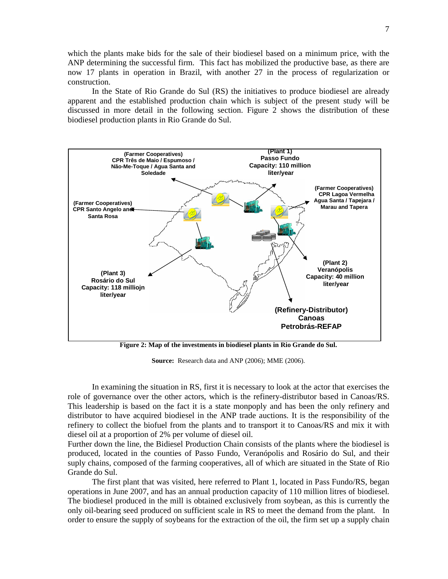which the plants make bids for the sale of their biodiesel based on a minimum price, with the ANP determining the successful firm. This fact has mobilized the productive base, as there are now 17 plants in operation in Brazil, with another 27 in the process of regularization or construction.

In the State of Rio Grande do Sul (RS) the initiatives to produce biodiesel are already apparent and the established production chain which is subject of the present study will be discussed in more detail in the following section. Figure 2 shows the distribution of these biodiesel production plants in Rio Grande do Sul.



**Figure 2: Map of the investments in biodiesel plants in Rio Grande do Sul.** 

**Source:** Research data and ANP (2006); MME (2006).

In examining the situation in RS, first it is necessary to look at the actor that exercises the role of governance over the other actors, which is the refinery-distributor based in Canoas/RS. This leadership is based on the fact it is a state monpoply and has been the only refinery and distributor to have acquired biodiesel in the ANP trade auctions. It is the responsibility of the refinery to collect the biofuel from the plants and to transport it to Canoas/RS and mix it with diesel oil at a proportion of 2% per volume of diesel oil.

Further down the line, the Bidiesel Production Chain consists of the plants where the biodiesel is produced, located in the counties of Passo Fundo, Veranópolis and Rosário do Sul, and their suply chains, composed of the farming cooperatives, all of which are situated in the State of Rio Grande do Sul.

The first plant that was visited, here referred to Plant 1, located in Pass Fundo/RS, began operations in June 2007, and has an annual production capacity of 110 million litres of biodiesel. The biodiesel produced in the mill is obtained exclusively from soybean, as this is currently the only oil-bearing seed produced on sufficient scale in RS to meet the demand from the plant. In order to ensure the supply of soybeans for the extraction of the oil, the firm set up a supply chain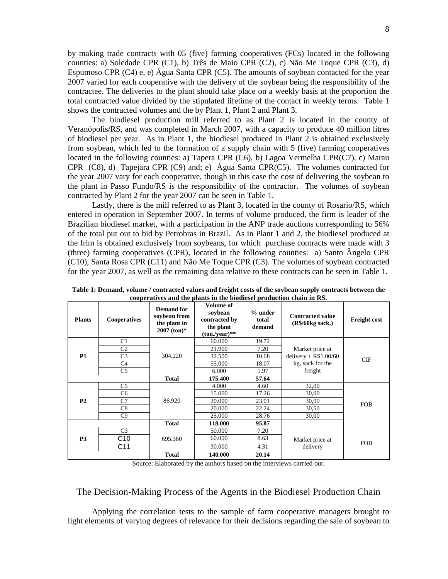by making trade contracts with 05 (five) farming cooperatives (FCs) located in the following counties: a) Soledade CPR (C1), b) Três de Maio CPR (C2), c) Não Me Toque CPR (C3), d) Espumoso CPR (C4) e, e) Água Santa CPR (C5). The amounts of soybean contacted for the year 2007 varied for each cooperative with the delivery of the soybean being the responsibility of the contractee. The deliveries to the plant should take place on a weekly basis at the proportion the total contracted value divided by the stipulated lifetime of the contact in weekly terms. Table 1 shows the contracted volumes and the by Plant 1, Plant 2 and Plant 3.

The biodiesel production mill referred to as Plant 2 is located in the county of Veranópolis/RS, and was completed in March 2007, with a capacity to produce 40 million litres of biodiesel per year. As in Plant 1, the biodiesel produced in Plant 2 is obtained exclusively from soybean, which led to the formation of a supply chain with 5 (five) farming cooperatives located in the following counties: a) Tapera CPR (C6), b) Lagoa Vermelha CPR(C7), c) Marau CPR (C8), d) Tapejara CPR (C9) and; e) Água Santa CPR(C5). The volumes contracted for the year 2007 vary for each cooperative, though in this case the cost of delivering the soybean to the plant in Passo Fundo/RS is the responsibility of the contractor. The volumes of soybean contracted by Plant 2 for the year 2007 can be seen in Table 1.

Lastly, there is the mill referred to as Plant 3, located in the county of Rosario/RS, which entered in operation in September 2007. In terms of volume produced, the firm is leader of the Brazilian biodiesel market, with a participation in the ANP trade auctions corresponding to 56% of the total put out to bid by Petrobras in Brazil. As in Plant 1 and 2, the biodiesel produced at the frim is obtained exclusively from soybeans, for which purchase contracts were made with 3 (three) farming cooperatives (CPR), located in the following counties: a) Santo Ângelo CPR (C10), Santa Rosa CPR (C11) and Não Me Toque CPR (C3). The volumes of soybean contracted for the year 2007, as well as the remaining data relative to these contracts can be seen in Table 1.

| <b>Plants</b>  | <b>Cooperatives</b> | <b>Demand</b> for<br>soybean from<br>the plant in<br>$2007$ (ton)* | Volume of<br>soybean<br>contracted by<br>the plant<br>$(ton./year)**$ | $%$ under<br>total<br>demand | <b>Contracted value</b><br>$(R\$/60kg$ sack.)                            | <b>Freight cost</b> |
|----------------|---------------------|--------------------------------------------------------------------|-----------------------------------------------------------------------|------------------------------|--------------------------------------------------------------------------|---------------------|
| <b>P1</b>      | C <sub>1</sub>      | 304.220                                                            | 60.000                                                                | 19.72                        | Market price at<br>delivery + $R$1.00/60$<br>kg. sack for the<br>freight | CIF                 |
|                | C <sub>2</sub>      |                                                                    | 21.900                                                                | 7.20                         |                                                                          |                     |
|                | C <sub>3</sub>      |                                                                    | 32.500                                                                | 10.68                        |                                                                          |                     |
|                | C4                  |                                                                    | 55.000                                                                | 18.07                        |                                                                          |                     |
|                | C <sub>5</sub>      |                                                                    | 6.000                                                                 | 1.97                         |                                                                          |                     |
|                |                     | <b>Total</b>                                                       | 175.400                                                               | 57.64                        |                                                                          |                     |
| P <sub>2</sub> | C <sub>5</sub>      | 86.920                                                             | 4.000                                                                 | 4.60                         | 32,00                                                                    | <b>FOB</b>          |
|                | C <sub>6</sub>      |                                                                    | 15.000                                                                | 17.26                        | 30,00                                                                    |                     |
|                | C7                  |                                                                    | 20.000                                                                | 23.01                        | 30,00                                                                    |                     |
|                | C8                  |                                                                    | 20.000                                                                | 22.24                        | 30,50                                                                    |                     |
|                | C9                  |                                                                    | 25.000                                                                | 28.76                        | 30,00                                                                    |                     |
|                |                     | <b>Total</b>                                                       | 118.000                                                               | 95.87                        |                                                                          |                     |
| P <sub>3</sub> | C <sub>3</sub>      | 695.360                                                            | 50.000                                                                | 7.20                         | Market price at<br>delivery                                              | <b>FOB</b>          |
|                | C10                 |                                                                    | 60.000                                                                | 8.63                         |                                                                          |                     |
|                | C <sub>11</sub>     |                                                                    | 30.000                                                                | 4.31                         |                                                                          |                     |
|                |                     | <b>Total</b>                                                       | 140.000                                                               | 20.14                        |                                                                          |                     |

**Table 1: Demand, volume / contracted values and freight costs of the soybean supply contracts between the cooperatives and the plants in the biodiesel production chain in RS.** 

Source: Elaborated by the authors based on the interviews carried out.

#### The Decision-Making Process of the Agents in the Biodiesel Production Chain

Applying the correlation tests to the sample of farm cooperative managers brought to light elements of varying degrees of relevance for their decisions regarding the sale of soybean to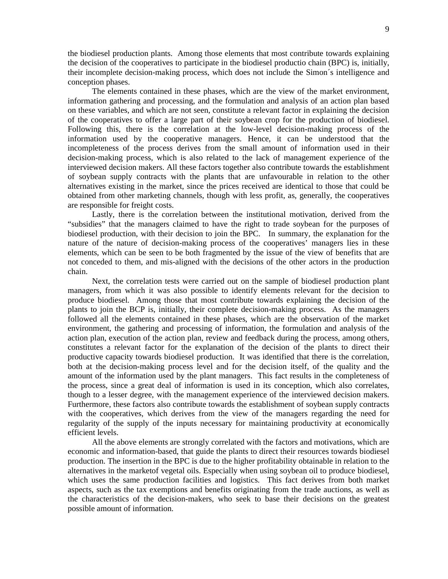the biodiesel production plants. Among those elements that most contribute towards explaining the decision of the cooperatives to participate in the biodiesel productio chain (BPC) is, initially, their incomplete decision-making process, which does not include the Simon´s intelligence and conception phases.

The elements contained in these phases, which are the view of the market environment, information gathering and processing, and the formulation and analysis of an action plan based on these variables, and which are not seen, constitute a relevant factor in explaining the decision of the cooperatives to offer a large part of their soybean crop for the production of biodiesel. Following this, there is the correlation at the low-level decision-making process of the information used by the cooperative managers. Hence, it can be understood that the incompleteness of the process derives from the small amount of information used in their decision-making process, which is also related to the lack of management experience of the interviewed decision makers. All these factors together also contribute towards the establishment of soybean supply contracts with the plants that are unfavourable in relation to the other alternatives existing in the market, since the prices received are identical to those that could be obtained from other marketing channels, though with less profit, as, generally, the cooperatives are responsible for freight costs.

Lastly, there is the correlation between the institutional motivation, derived from the "subsidies" that the managers claimed to have the right to trade soybean for the purposes of biodiesel production, with their decision to join the BPC. In summary, the explanation for the nature of the nature of decision-making process of the cooperatives' managers lies in these elements, which can be seen to be both fragmented by the issue of the view of benefits that are not conceded to them, and mis-aligned with the decisions of the other actors in the production chain.

Next, the correlation tests were carried out on the sample of biodiesel production plant managers, from which it was also possible to identify elements relevant for the decision to produce biodiesel. Among those that most contribute towards explaining the decision of the plants to join the BCP is, initially, their complete decision-making process. As the managers followed all the elements contained in these phases, which are the observation of the market environment, the gathering and processing of information, the formulation and analysis of the action plan, execution of the action plan, review and feedback during the process, among others, constitutes a relevant factor for the explanation of the decision of the plants to direct their productive capacity towards biodiesel production. It was identified that there is the correlation, both at the decision-making process level and for the decision itself, of the quality and the amount of the information used by the plant managers. This fact results in the completeness of the process, since a great deal of information is used in its conception, which also correlates, though to a lesser degree, with the management experience of the interviewed decision makers. Furthermore, these factors also contribute towards the establishment of soybean supply contracts with the cooperatives, which derives from the view of the managers regarding the need for regularity of the supply of the inputs necessary for maintaining productivity at economically efficient levels.

All the above elements are strongly correlated with the factors and motivations, which are economic and information-based, that guide the plants to direct their resources towards biodiesel production. The insertion in the BPC is due to the higher profitability obtainable in relation to the alternatives in the marketof vegetal oils. Especially when using soybean oil to produce biodiesel, which uses the same production facilities and logistics. This fact derives from both market aspects, such as the tax exemptions and benefits originating from the trade auctions, as well as the characteristics of the decision-makers, who seek to base their decisions on the greatest possible amount of information.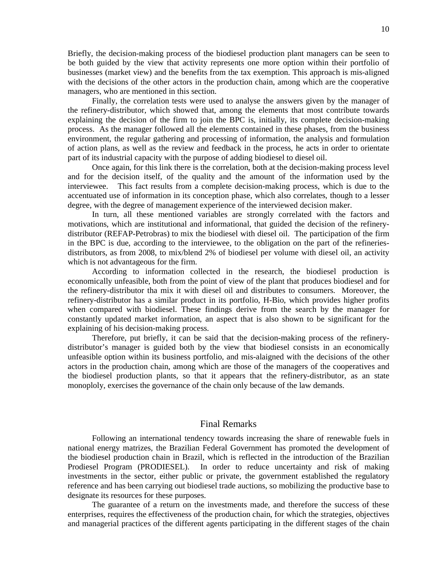Briefly, the decision-making process of the biodiesel production plant managers can be seen to be both guided by the view that activity represents one more option within their portfolio of businesses (market view) and the benefits from the tax exemption. This approach is mis-aligned with the decisions of the other actors in the production chain, among which are the cooperative managers, who are mentioned in this section.

Finally, the correlation tests were used to analyse the answers given by the manager of the refinery-distributor, which showed that, among the elements that most contribute towards explaining the decision of the firm to join the BPC is, initially, its complete decision-making process. As the manager followed all the elements contained in these phases, from the business environment, the regular gathering and processing of information, the analysis and formulation of action plans, as well as the review and feedback in the process, he acts in order to orientate part of its industrial capacity with the purpose of adding biodiesel to diesel oil.

Once again, for this link there is the correlation, both at the decision-making process level and for the decision itself, of the quality and the amount of the information used by the interviewee. This fact results from a complete decision-making process, which is due to the accentuated use of information in its conception phase, which also correlates, though to a lesser degree, with the degree of management experience of the interviewed decision maker.

In turn, all these mentioned variables are strongly correlated with the factors and motivations, which are institutional and informational, that guided the decision of the refinerydistributor (REFAP-Petrobras) to mix the biodiesel with diesel oil. The participation of the firm in the BPC is due, according to the interviewee, to the obligation on the part of the refineriesdistributors, as from 2008, to mix/blend 2% of biodiesel per volume with diesel oil, an activity which is not advantageous for the firm.

According to information collected in the research, the biodiesel production is economically unfeasible, both from the point of view of the plant that produces biodiesel and for the refinery-distributor tha mix it with diesel oil and distributes to consumers. Moreover, the refinery-distributor has a similar product in its portfolio, H-Bio, which provides higher profits when compared with biodiesel. These findings derive from the search by the manager for constantly updated market information, an aspect that is also shown to be significant for the explaining of his decision-making process.

Therefore, put briefly, it can be said that the decision-making process of the refinerydistributor's manager is guided both by the view that biodiesel consists in an economically unfeasible option within its business portfolio, and mis-alaigned with the decisions of the other actors in the production chain, among which are those of the managers of the cooperatives and the biodiesel production plants, so that it appears that the refinery-distributor, as an state monoploly, exercises the governance of the chain only because of the law demands.

## Final Remarks

Following an international tendency towards increasing the share of renewable fuels in national energy matrizes, the Brazilian Federal Government has promoted the development of the biodiesel production chain in Brazil, which is reflected in the introduction of the Brazilian Prodiesel Program (PRODIESEL). In order to reduce uncertainty and risk of making investments in the sector, either public or private, the government established the regulatory reference and has been carrying out biodiesel trade auctions, so mobilizing the productive base to designate its resources for these purposes.

The guarantee of a return on the investments made, and therefore the success of these enterprises, requires the effectiveness of the production chain, for which the strategies, objectives and managerial practices of the different agents participating in the different stages of the chain